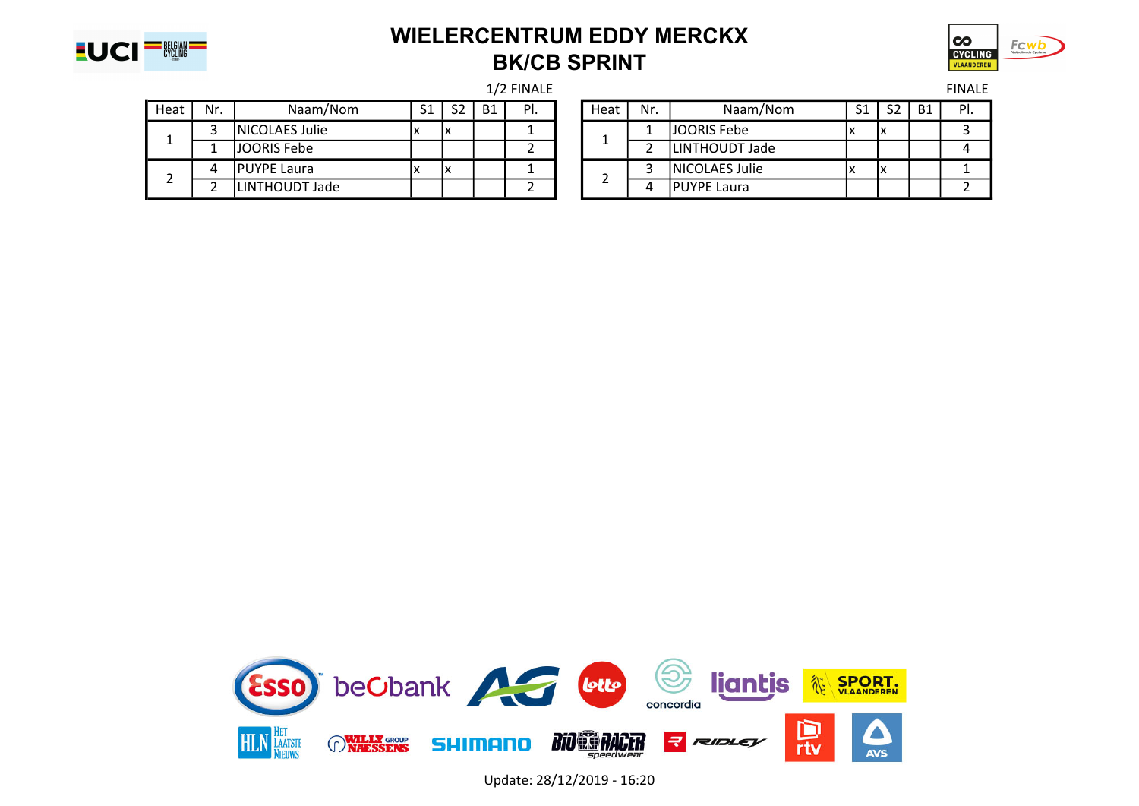

#### WIELERCENTRUM EDDY MERCKX BK/CB SPRINT



| Heat | Nr. | Naam/Nom            | C <sub>1</sub> | S <sub>2</sub> | <b>B1</b> | PI. | Heat | Nr. | Naam/Nom              | C <sub>1</sub><br>ــ ب | S <sub>2</sub> | <b>B1</b> | PI. |
|------|-----|---------------------|----------------|----------------|-----------|-----|------|-----|-----------------------|------------------------|----------------|-----------|-----|
|      |     | NICOLAES Julie      |                | ıх             |           |     |      |     | JOORIS Febe           |                        | ^              |           |     |
| - -  |     | JJOORIS Febe        |                |                |           |     |      |     | LINTHOUDT Jade        |                        |                |           |     |
|      |     | <b>IPUYPE Laura</b> |                | IΧ             |           |     |      |     | <b>NICOLAES Julie</b> |                        | v<br>៱         |           |     |
|      |     | LINTHOUDT Jade      |                |                |           |     |      |     | <b>PUYPE Laura</b>    |                        |                |           |     |

|     |                       |                |                |           | 1/2 FINALE |      |     |                     |                |    |           | <b>FINALE</b> |
|-----|-----------------------|----------------|----------------|-----------|------------|------|-----|---------------------|----------------|----|-----------|---------------|
| Ir. | Naam/Nom              | S <sub>1</sub> | S <sub>2</sub> | <b>B1</b> | PI.        | Heat | Nr. | Naam/Nom            | S <sub>1</sub> | S2 | <b>B1</b> | PI.           |
|     | <b>NICOLAES Julie</b> |                | ıх             |           |            |      |     | <b>JOORIS Febe</b>  |                |    |           |               |
|     | JOORIS Febe           |                |                |           |            |      |     | LINTHOUDT Jade      |                |    |           |               |
| л   | <b>IPUYPE Laura</b>   |                | ıх             |           |            |      |     | NICOLAES Julie      |                | ΙĀ |           |               |
|     | LINTHOUDT Jade        |                |                |           |            |      |     | <b>IPUYPE Laura</b> |                |    |           |               |



Update: 28/12/2019 - 16:20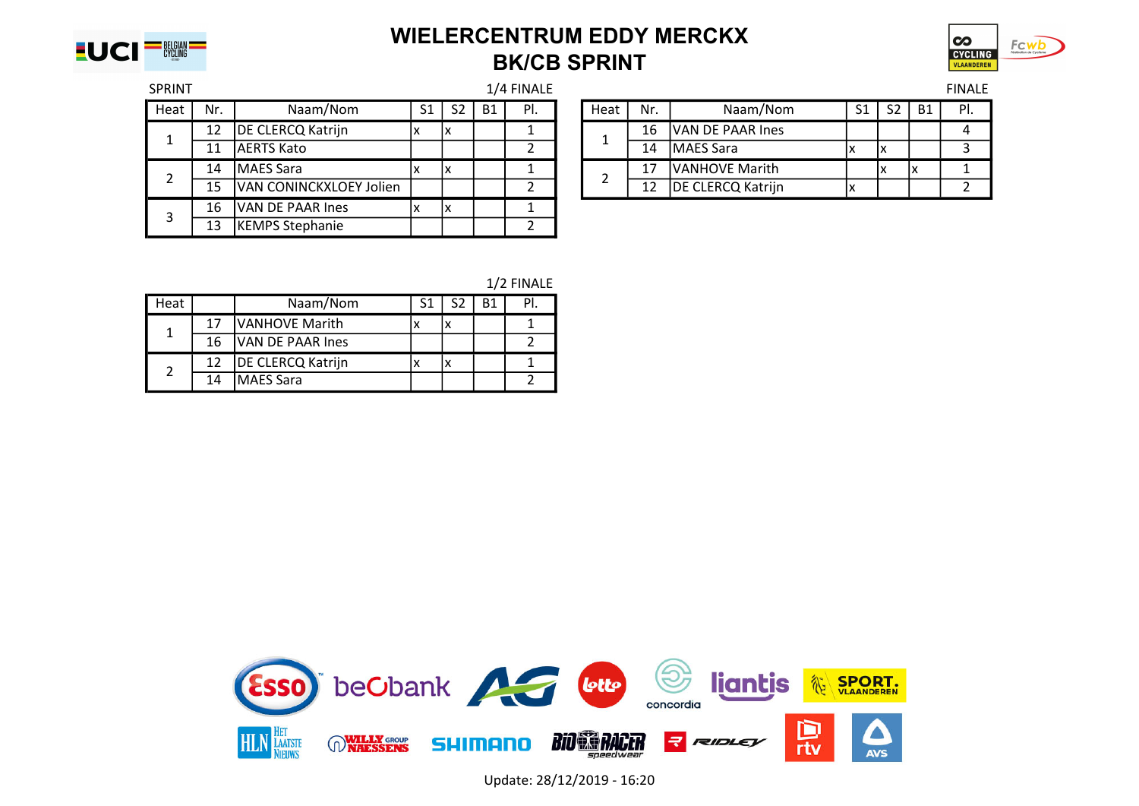

#### WIELERCENTRUM EDDY MERCKX BK/CB SPRINT



| <b>SPRINT</b> |                  |                         |    |                |           | 1/4 FINALE |      |                |                   |                |                |           | <b>FINALE</b> |
|---------------|------------------|-------------------------|----|----------------|-----------|------------|------|----------------|-------------------|----------------|----------------|-----------|---------------|
| Heat          | Nr.              | Naam/Nom                | S1 | S <sub>2</sub> | <b>B1</b> | PI.        | Heat | Nr.            | Naam/Nom          | S <sub>1</sub> | S <sub>2</sub> | <b>B1</b> | PI.           |
|               | 12               | DE CLERCQ Katrijn       | x  |                |           |            |      | 16             | VAN DE PAAR Ines  |                |                |           |               |
|               | 11               | <b>JAERTS Kato</b>      |    |                |           |            |      | 14             | MAES Sara         | ⋏              | ΙX             |           |               |
| 14            | <b>MAES Sara</b> | x                       |    |                |           |            | 17   | VANHOVE Marith |                   |                |                |           |               |
|               | 15               | VAN CONINCKXLOEY Jolien |    |                |           |            |      | 12             | DE CLERCQ Katrijn |                |                |           |               |
|               | 16               | VAN DE PAAR Ines        | x  |                |           |            |      |                |                   |                |                |           |               |
|               | 13               | <b>KEMPS Stephanie</b>  |    |                |           |            |      |                |                   |                |                |           |               |

|     |                                |    |           | $1/7$ $\pm$ $\pm$ $\pm$ $\pm$ $\pm$ |      |     |                         |    |    |           | '''You |
|-----|--------------------------------|----|-----------|-------------------------------------|------|-----|-------------------------|----|----|-----------|--------|
| ٧r. | Naam/Nom                       |    | <b>B1</b> | PI.                                 | Heat | Nr. | Naam/Nom                | S1 |    | <b>B1</b> | PI.    |
| 12  | DE CLERCQ Katrijn              | ΙX |           |                                     |      | 16  | <b>VAN DE PAAR Ines</b> |    |    |           |        |
| 11  | lAERTS Kato                    |    |           |                                     |      | 14  | <b>IMAES Sara</b>       |    | ΙX |           |        |
| 14  | MAES Sara                      | "י |           |                                     |      | 17  | <b>VANHOVE Marith</b>   |    |    |           |        |
| 15  | <b>VAN CONINCKXLOEY Jolien</b> |    |           |                                     |      | 12  | DE CLERCQ Katrijn       |    |    |           |        |

| 1/2 FINALE |  |
|------------|--|
|------------|--|

| Heat |    | Naam/Nom                 |  |  |
|------|----|--------------------------|--|--|
|      | 17 | <b>VANHOVE Marith</b>    |  |  |
|      | 16 | VAN DE PAAR Ines         |  |  |
| 2    | 12 | <b>DE CLERCQ Katrijn</b> |  |  |
|      | 14 | <b>MAES Sara</b>         |  |  |



Update: 28/12/2019 - 16:20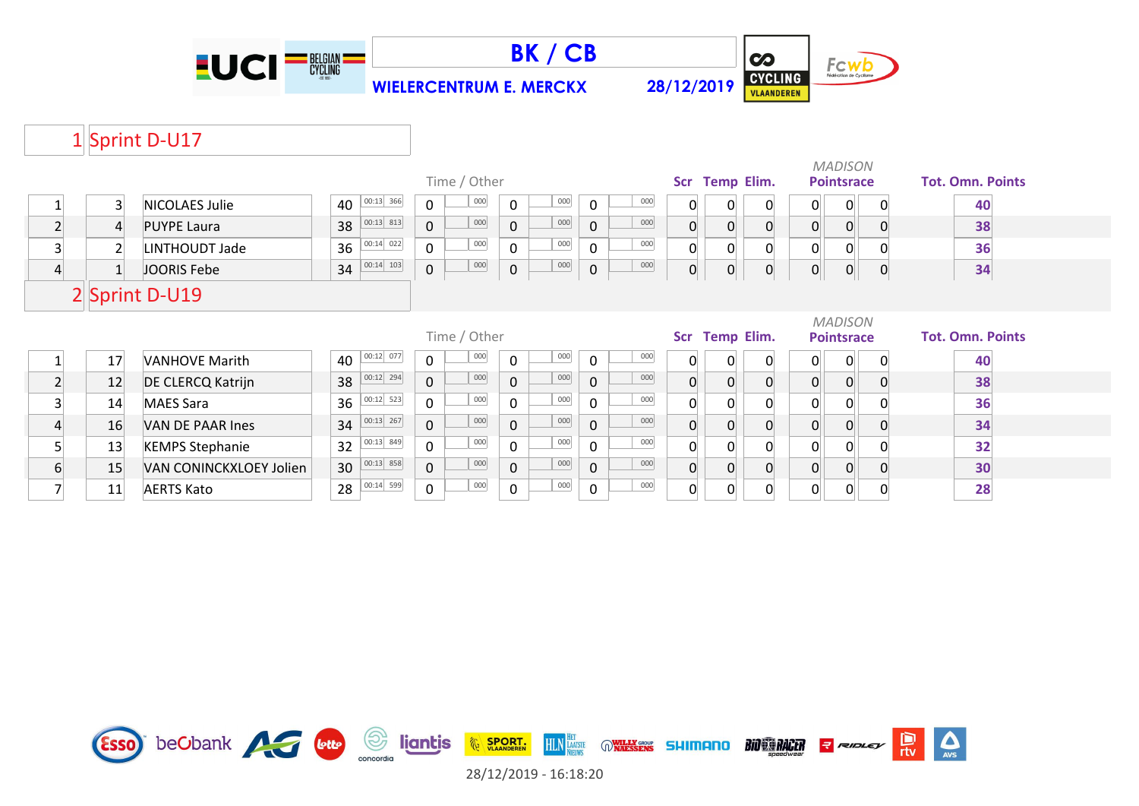





# 1 Sprint D-U17

| Time / Other   |                 |                          |    |             |                |              |                     |         |              |     | <b>MADISON</b><br>Scr Temp Elim.<br><b>Pointsrace</b> |                |                |                |                   |             | <b>Tot. Omn. Points</b> |
|----------------|-----------------|--------------------------|----|-------------|----------------|--------------|---------------------|---------|--------------|-----|-------------------------------------------------------|----------------|----------------|----------------|-------------------|-------------|-------------------------|
|                | $\overline{3}$  | <b>NICOLAES Julie</b>    | 40 | $00:13$ 366 | $\Omega$       | 000          | $\Omega$            | $000\,$ | $\Omega$     | 000 | 0                                                     | 0              | 0              | $\overline{0}$ | 0                 | 0           | 40                      |
| $\overline{2}$ | 4               | <b>PUYPE Laura</b>       | 38 | $00:13$ 813 | $\overline{0}$ | 000          | $\mathbf 0$         | 000     | $\mathbf 0$  | 000 | $\overline{0}$                                        | $\Omega$       | $\overline{0}$ | $\overline{0}$ | $\overline{0}$    | $\Omega$    | 38                      |
| $\overline{3}$ | $\overline{2}$  | LINTHOUDT Jade           | 36 | $00:14$ 022 | $\mathbf 0$    | 000          | $\mathbf 0$         | 000     | $\mathbf 0$  | 000 | $\Omega$                                              | $\Omega$       | $\mathbf{0}$   | $\Omega$       | 0                 |             | 36                      |
| $\overline{4}$ | $1\overline{ }$ | JOORIS Febe              | 34 | $00:14$ 103 | $\overline{0}$ | 000          | $\mathsf{O}\xspace$ | 000     | $\mathbf 0$  | 000 | $\overline{0}$                                        | $\overline{0}$ | 0              | 0              | $\overline{0}$    | $\mathbf 0$ | 34                      |
|                |                 | 2 Sprint D-U19           |    |             |                |              |                     |         |              |     |                                                       |                |                |                |                   |             |                         |
|                |                 |                          |    |             |                |              |                     |         |              |     |                                                       |                |                |                | <b>MADISON</b>    |             |                         |
|                |                 |                          |    |             |                | Time / Other |                     |         |              |     |                                                       |                | Scr Temp Elim. |                | <b>Pointsrace</b> |             | <b>Tot. Omn. Points</b> |
|                | 17              | <b>VANHOVE Marith</b>    | 40 | $00:12$ 077 | $\mathbf 0$    | 000          | $\mathbf 0$         | $000\,$ | $\Omega$     | 000 | $\Omega$                                              |                | 0              | $\mathbf{0}$   | 0                 | 0           | 40                      |
| $\overline{2}$ | 12              | <b>DE CLERCQ Katrijn</b> | 38 | $00:12$ 294 | $\mathbf 0$    | 000          | $\mathbf 0$         | 000     | $\mathbf 0$  | 000 | $\overline{0}$                                        |                | 0              | $\overline{0}$ | 0                 | $\Omega$    | 38                      |
| $\overline{3}$ | 14              | <b>MAES Sara</b>         | 36 | $00:12$ 523 | $\mathbf 0$    | 000          | $\mathbf{0}$        | 000     | $\Omega$     | 000 | 0                                                     |                | 0              | 0              | 0                 |             | 36                      |
| $\overline{4}$ | 16              | VAN DE PAAR Ines         | 34 | $00:13$ 267 | $\Omega$       | 000          | $\Omega$            | 000     | $\mathbf 0$  | 000 | $\overline{0}$                                        | $\Omega$       | 0              | 0              | $\overline{0}$    | $\Omega$    | 34                      |
| 5              | 13              | <b>KEMPS Stephanie</b>   | 32 | $00:13$ 849 | $\mathbf 0$    | 000          | $\mathbf{0}$        | 000     | $\mathbf{0}$ | 000 | $\Omega$                                              |                | $\Omega$       | $\Omega$       | 0                 |             | 32                      |
| 6              | 15              | VAN CONINCKXLOEY Jolien  | 30 | $00:13$ 858 | $\mathbf 0$    | 000          | $\mathbf 0$         | 000     | $\mathbf 0$  | 000 | $\overline{0}$                                        | $\Omega$       | $\mathbf 0$    | 0              | 0                 | 0           | 30                      |

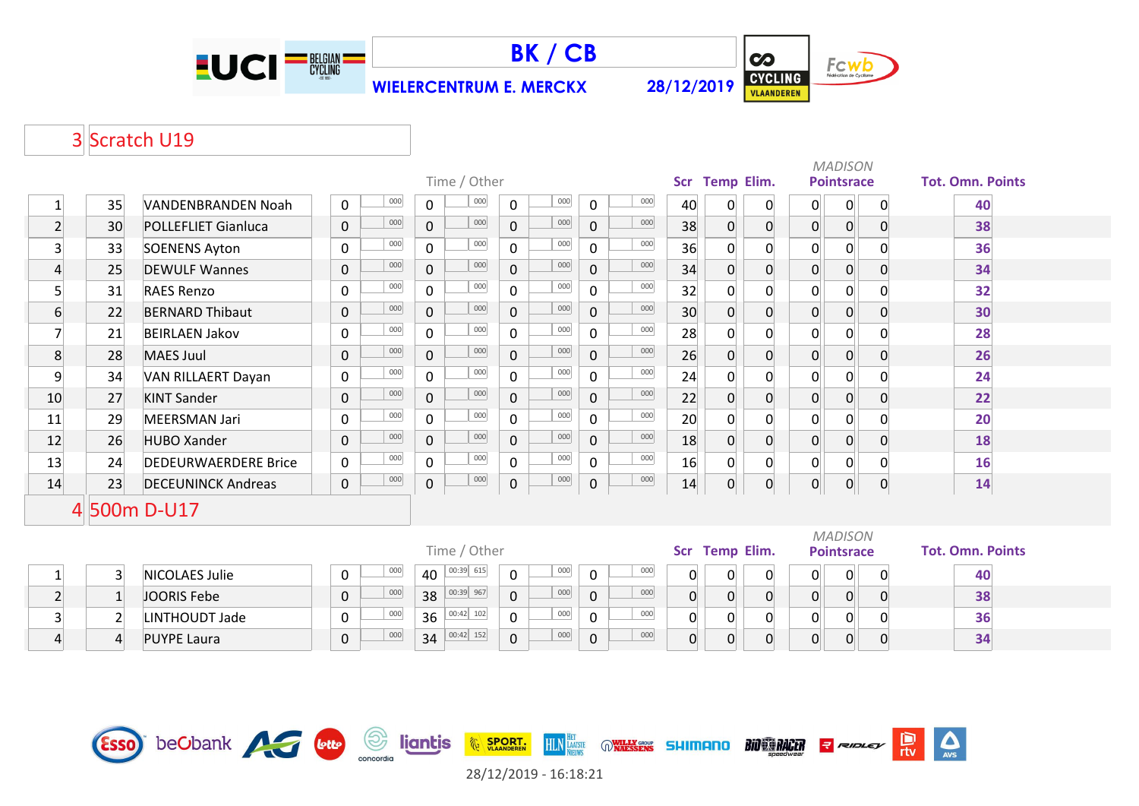



 $\overline{\mathbf{c}}$ Fcwb CYCLING

## 3 Scratch U19

|                |    |                             |                            |                     | Time / Other |                |     |              |     |    | Scr Temp Elim. |                |                | <b>MADISON</b><br><b>Pointsrace</b> |             | <b>Tot. Omn. Points</b> |
|----------------|----|-----------------------------|----------------------------|---------------------|--------------|----------------|-----|--------------|-----|----|----------------|----------------|----------------|-------------------------------------|-------------|-------------------------|
|                | 35 | VANDENBRANDEN Noah          | 000<br>$\mathbf 0$         | $\mathbf 0$         | 000          | 0              | 000 | $\Omega$     | 000 | 40 | 0              | $\overline{0}$ | $\overline{0}$ | 0                                   | $\mathbf 0$ | 40                      |
| $\overline{2}$ | 30 | <b>POLLEFLIET Gianluca</b>  | 000<br>$\mathbf 0$         | $\mathbf 0$         | 000          | $\mathbf 0$    | 000 | $\mathbf 0$  | 000 | 38 | $\overline{0}$ | 0              | $\overline{0}$ | $\overline{0}$                      | 0           | 38                      |
| 3              | 33 | <b>SOENENS Ayton</b>        | 000<br>$\mathbf 0$         | $\mathbf 0$         | 000          | 0              | 000 | $\Omega$     | 000 | 36 | $\overline{0}$ | $\Omega$       | $\overline{0}$ | 0                                   |             | 36                      |
| 4              | 25 | <b>DEWULF Wannes</b>        | 000<br>$\mathbf 0$         | $\mathbf 0$         | 000          | $\overline{0}$ | 000 | $\mathbf 0$  | 000 | 34 | $\overline{0}$ | 0              | $\overline{0}$ | $\overline{0}$                      | 0           | 34                      |
| 5              | 31 | <b>RAES Renzo</b>           | 000<br>0                   | $\mathbf 0$         | 000          | 0              | 000 | 0            | 000 | 32 | $\Omega$       |                | $\Omega$       | 0                                   |             | 32                      |
| 6              | 22 | <b>BERNARD Thibaut</b>      | 000<br>$\mathbf 0$         | $\mathbf 0$         | 000          | $\mathsf{O}$   | 000 | $\mathbf{0}$ | 000 | 30 | $\Omega$       | 0              | $\overline{0}$ | $\overline{0}$                      |             | 30                      |
| 7              | 21 | <b>BEIRLAEN Jakov</b>       | 000<br>$\mathbf 0$         | $\mathbf 0$         | 000          | 0              | 000 | $\mathbf{0}$ | 000 | 28 | 0              | $\overline{0}$ | $\overline{0}$ | 0                                   |             | 28                      |
| 8              | 28 | <b>MAES Juul</b>            | 000<br>$\pmb{0}$           | $\mathbf 0$         | 000          | $\overline{0}$ | 000 | $\mathbf 0$  | 000 | 26 | $\Omega$       | 0              | $\overline{0}$ | $\overline{0}$                      |             | 26                      |
| 9              | 34 | VAN RILLAERT Dayan          | 000<br>$\mathbf 0$         | $\mathbf 0$         | 000          | $\overline{0}$ | 000 | $\Omega$     | 000 | 24 | 0              | 0              | $\overline{0}$ | 0                                   |             | 24                      |
| 10             | 27 | <b>KINT Sander</b>          | 000<br>$\pmb{0}$           | $\mathbf 0$         | 000          | $\mathsf{O}$   | 000 | $\mathbf 0$  | 000 | 22 | 0              | 0              | $\overline{0}$ | $\Omega$                            | 0           | 22                      |
| 11             | 29 | <b>MEERSMAN Jari</b>        | 000<br>$\mathbf 0$         | $\mathbf 0$         | 000          | 0              | 000 | $\mathbf{0}$ | 000 | 20 | $\Omega$       | 0              | $\overline{0}$ | 0                                   |             | 20                      |
| 12             | 26 | <b>HUBO Xander</b>          | 000<br>$\mathsf{O}\xspace$ | $\mathbf 0$         | 000          | $\overline{0}$ | 000 | $\mathbf 0$  | 000 | 18 | $\overline{0}$ | 0              | $\overline{0}$ | $\overline{0}$                      | 0           | 18                      |
| 13             | 24 | <b>DEDEURWAERDERE Brice</b> | 000<br>$\mathbf 0$         | $\mathbf 0$         | 000          | 0              | 000 | 0            | 000 | 16 | 0              | 0              | $\overline{0}$ | 0                                   |             | 16                      |
| 14             | 23 | <b>DECEUNINCK Andreas</b>   | 000<br>$\mathsf{O}\xspace$ | $\mathsf{O}\xspace$ | 000          | 0              | 000 | $\mathbf 0$  | 000 | 14 | $\overline{0}$ | 0              | $\overline{0}$ | 0                                   | $\mathbf 0$ | 14                      |
|                |    | 4 500m D-U17                |                            |                     |              |                |     |              |     |    |                |                |                |                                     |             |                         |

|              |                    | $IIIIIC$ / ULIEL |    |           |                 |          |     |  | <b>TEMP EMM.</b> | <b>FUILISIALE</b> |  |  | <u>TUL. UIIIII. I</u> |
|--------------|--------------------|------------------|----|-----------|-----------------|----------|-----|--|------------------|-------------------|--|--|-----------------------|
|              | NICOLAES Julie     | 000              | 40 | 00:39 615 | 000<br>0        |          | 000 |  |                  |                   |  |  | 40                    |
|              | JOORIS Febe        | 000              | 38 | 00:39 967 | 000<br>0        | $\Omega$ | 000 |  |                  |                   |  |  | 38                    |
|              | LINTHOUDT Jade     | 000              | 36 | 00:42 102 | 000<br>$\Omega$ |          | 000 |  |                  |                   |  |  | 36                    |
| $\mathbf{A}$ | <b>PUYPE Laura</b> | 000              | 34 | 00:42 152 | 000<br>0        | $\Omega$ | 000 |  | 0                |                   |  |  | 34                    |

| Time / Other    |                     | Scr Temp Elim. |     | <b>Pointsrace</b> | <b>Tot. Omn. Points</b> |  |  |    |  |
|-----------------|---------------------|----------------|-----|-------------------|-------------------------|--|--|----|--|
| 00:39 615<br>40 | 000<br>0            | 0              | 000 |                   | 0                       |  |  | 40 |  |
| 00:39 967<br>38 | 000<br>0            | 0              | 000 | 0                 | 0                       |  |  | 38 |  |
| 00:42 102<br>36 | 000<br>$\mathbf{0}$ | 0              | 000 |                   | $\Omega$                |  |  | 36 |  |
| 00:42 152<br>34 | 000<br>0            | 0              | 000 | 0                 | $\mathbf{0}$            |  |  | 34 |  |

| MADISON |  |  |  |
|---------|--|--|--|
|         |  |  |  |

**BIO CO RACER** 

|  |              | II. UMN. POING |  |
|--|--------------|----------------|--|
|  | $\mathbf{a}$ |                |  |

| 4U |  |
|----|--|
| 38 |  |
| 36 |  |
| २∠ |  |

 $\sum_{\text{AVS}}$ 

D<br>rtv

 $7$  RIDLEY



28/12/2019 - 16:18:21

**HLN** LAATSTE

**WALLY GROUP** SHIMANO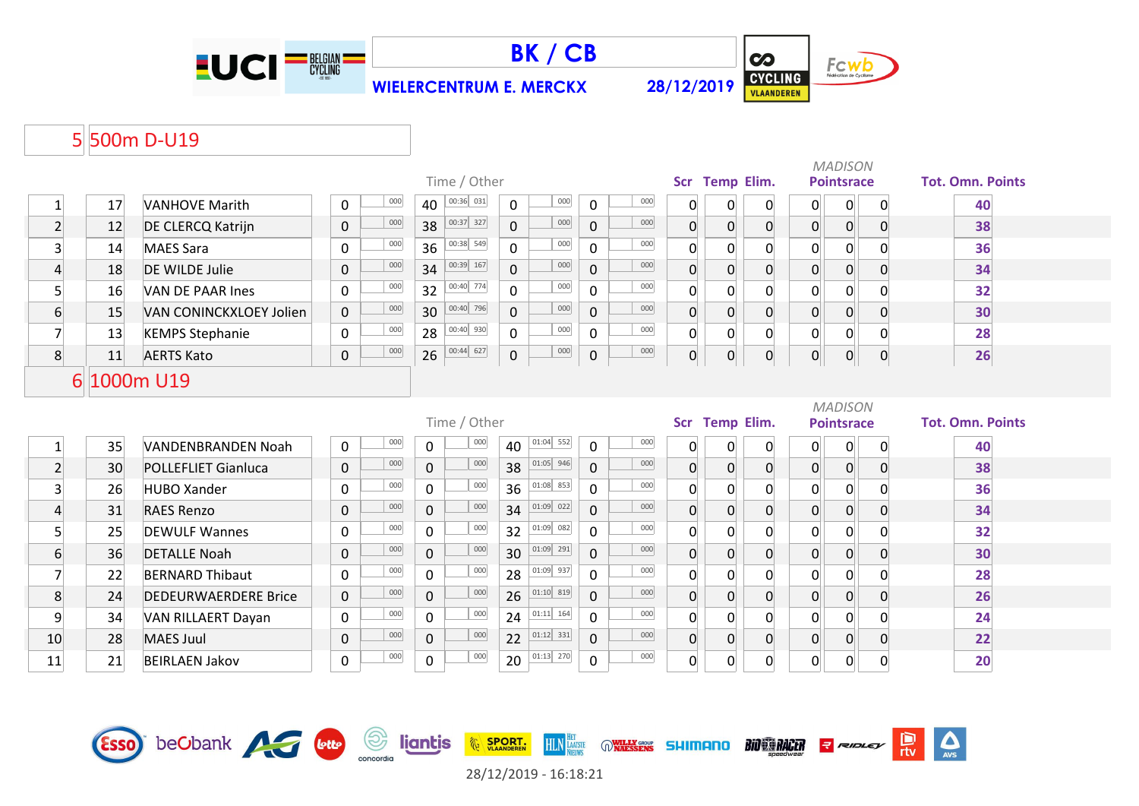





 $\Delta$ 

 $\frac{D}{\pi v}$ 

**R** RIDLEY

**BIO RACER** 

## 5 500m D-U19

|                         |    |                             |                     | Time / Other          |                                       | Scr        | <b>Temp Elim.</b>                |                |                | <b>MADISON</b><br><b>Pointsrace</b> |                  | <b>Tot. Omn. Points</b> |
|-------------------------|----|-----------------------------|---------------------|-----------------------|---------------------------------------|------------|----------------------------------|----------------|----------------|-------------------------------------|------------------|-------------------------|
| $1\vert$                | 17 | <b>VANHOVE Marith</b>       | 000<br>0            | 00:36 031<br>40       | 000<br>$\mathbf 0$<br>0               | 000        | 0<br>0                           | $\overline{0}$ | $\overline{0}$ | 0                                   | $\mathbf 0$      | 40                      |
| $\overline{2}$          | 12 | DE CLERCQ Katrijn           | 000<br>$\mathbf 0$  | 00:37 327<br>38       | 000<br>$\overline{0}$<br>0            | 000        | $\overline{0}$<br>$\overline{0}$ | $\overline{0}$ | $\overline{0}$ | $\overline{0}$                      | $\overline{0}$   | 38                      |
| $\overline{3}$          | 14 | <b>MAES Sara</b>            | 000<br>$\mathbf 0$  | 00:38 549<br>36       | 000<br>$\mathbf 0$<br>0               | 000        | $\overline{0}$<br>$\overline{0}$ | $\overline{0}$ | $\mathbf 0$    | 0                                   |                  | 36                      |
| $\overline{4}$          | 18 | <b>DE WILDE Julie</b>       | 000<br>$\mathbf 0$  | 00:39 167<br>34       | 000<br>$\Omega$<br>$\overline{0}$     | 000        | $\overline{0}$<br>$\overline{0}$ | $\overline{0}$ | $\overline{0}$ | $\overline{0}$                      | $\overline{0}$   | 34                      |
| $\overline{5}$          | 16 | <b>VAN DE PAAR Ines</b>     | 000<br>$\mathbf 0$  | 00:40 774<br>32       | 000<br>$\Omega$<br>0                  | 000        | $\overline{0}$<br>0              | $\Omega$       | $\mathbf 0$    | 0                                   |                  | 32                      |
| $6 \overline{}$         | 15 | VAN CONINCKXLOEY Jolien     | 000<br>$\mathbf{0}$ | 00:40 796<br>30       | 000<br>$\Omega$<br>$\overline{0}$     | 000        | $\overline{0}$<br>$\overline{0}$ | $\overline{0}$ | $\overline{0}$ | $\overline{0}$                      | $\overline{0}$   | 30                      |
| $\overline{7}$          | 13 | <b>KEMPS Stephanie</b>      | 000<br>$\mathbf 0$  | 00:40 930<br>28       | 000<br>$\overline{0}$<br>$\mathbf 0$  | 000        | $\overline{0}$<br>0              | $\overline{0}$ | $\mathbf 0$    | $\mathbf 0$                         | $\Omega$         | 28                      |
| 8                       | 11 | <b>AERTS Kato</b>           | 000<br>0            | 00:44 627<br>26       | 000<br>0<br>0                         | 000        | $\overline{0}$<br>$\mathsf{O}$   | $\overline{0}$ | $\overline{0}$ | $\mathbf{0}$                        | $\boldsymbol{0}$ | 26                      |
| 6                       |    | 1000m U19                   |                     |                       |                                       |            |                                  |                |                |                                     |                  |                         |
|                         |    |                             |                     | Time / Other          |                                       | <b>Scr</b> | Temp Elim.                       |                |                | <b>MADISON</b><br><b>Pointsrace</b> |                  | <b>Tot. Omn. Points</b> |
| $\mathbf{1}$            | 35 | <b>VANDENBRANDEN Noah</b>   | 000<br>$\mathsf{O}$ | 000<br>$\mathbf{0}$   | 01:04 552<br>40<br>0                  | 000        | 0<br>0                           | $\overline{0}$ | $\overline{0}$ | 0                                   | 0                | 40                      |
| $\overline{2}$          | 30 | <b>POLLEFLIET Gianluca</b>  | 000<br>$\mathbf 0$  | 000<br>$\overline{0}$ | $01:05$ 946<br>38<br>$\overline{0}$   | 000        | $\overline{0}$<br>$\mathbf 0$    | $\overline{0}$ | $\overline{0}$ | $\overline{0}$                      | 0                | 38                      |
| $\overline{\mathbf{3}}$ | 26 | <b>HUBO Xander</b>          | 000<br>$\mathbf 0$  | 000<br>$\mathbf{0}$   | 01:08 853<br>36<br>$\mathbf 0$        | 000        | $\mathbf 0$<br>0                 | $\mathbf 0$    | 0              | 0                                   |                  | 36                      |
| $\overline{4}$          | 31 | <b>RAES Renzo</b>           | 000<br>$\mathbf 0$  | 000<br>$\mathbf{0}$   | 01:09 022 <br>34<br>$\mathbf 0$       | 000        | $\overline{0}$<br>$\overline{0}$ | $\overline{0}$ | $\overline{0}$ | $\overline{0}$                      | 0                | 34                      |
| $\overline{5}$          | 25 | <b>DEWULF Wannes</b>        | 000<br>$\mathbf 0$  | 000<br>$\overline{0}$ | 01:09 082<br>32<br>0                  | 000        | $\overline{0}$<br>$\overline{0}$ | $\overline{0}$ | $\mathbf 0$    | $\mathsf{o}$                        | $\Omega$         | 32                      |
| $6 \overline{}$         | 36 | <b>DETALLE Noah</b>         | 000<br>$\mathbf 0$  | 000<br>$\mathbf{0}$   | 01:09 291<br>30<br>$\mathbf{0}$       | 000        | $\overline{0}$<br>$\overline{0}$ | $\overline{0}$ | $\overline{0}$ | $\overline{0}$                      | $\overline{0}$   | 30                      |
| $\overline{7}$          | 22 | <b>BERNARD Thibaut</b>      | 000<br>$\mathbf 0$  | 000<br>$\Omega$       | $01:09$ 937<br>28<br>$\overline{0}$   | 000        | $\mathbf{0}$<br>$\overline{0}$   | $\Omega$       | $\overline{0}$ | 0                                   | $\Omega$         | 28                      |
| 8                       | 24 | <b>DEDEURWAERDERE Brice</b> | 000<br>$\mathbf 0$  | 000<br>$\mathbf{0}$   | 01:10 819<br>26<br>0                  | 000        | $\overline{0}$<br>$\overline{0}$ | $\overline{0}$ | $\overline{0}$ | $\overline{0}$                      | $\Omega$         | 26                      |
| 9                       | 34 | <b>VAN RILLAERT Dayan</b>   | 000<br>$\mathbf 0$  | 000<br>$\Omega$       | $ 01:11 $ 164<br>24<br>$\overline{0}$ | 000        | $\Omega$<br>$\Omega$             | $\Omega$       | $\mathbf 0$    | 0                                   | $\Omega$         | 24                      |
| 10                      | 28 | <b>MAES Juul</b>            | 000<br>$\mathbf 0$  | 000<br>$\overline{0}$ | 01:12 331 <br>22<br>0                 | 000        | $\overline{0}$<br>$\overline{0}$ | $\overline{0}$ | $\overline{0}$ | $\overline{0}$                      | $\overline{0}$   | 22                      |
| 11                      | 21 | <b>BEIRLAEN Jakov</b>       | 000<br>$\mathbf 0$  | 000<br>0              | 01:13 270<br>20<br>0                  | 000        | $\overline{0}$<br>$\overline{0}$ | $\overline{0}$ | $\overline{0}$ | 0                                   | $\mathbf 0$      | 20                      |





**HLN**<br>**HLN**<br>NEIWS

**WILLY GROUP SHIMANO** 

**EXAMPLE SPORT.**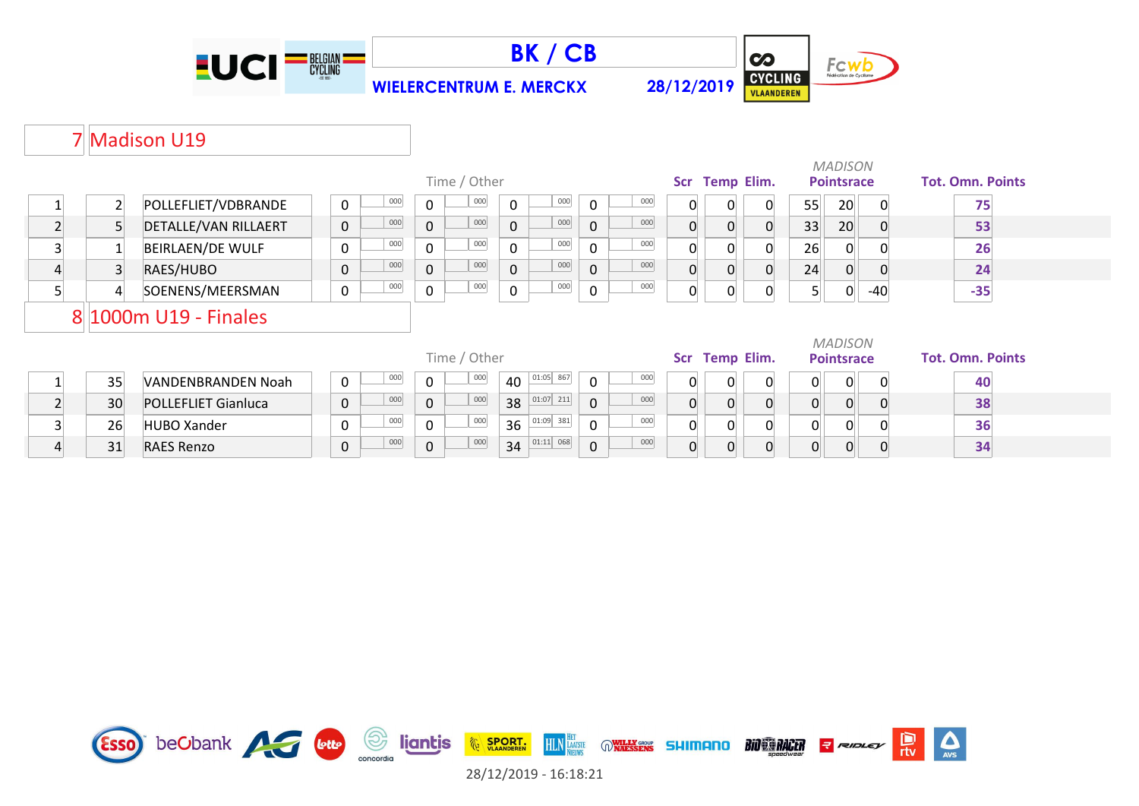





# 7 Madison U19

|                |                |                            |  |             |     |                |              |                |             |                |     |                |          | <b>MADISON</b>    |                |                   |     |  |                         |  |  |  |
|----------------|----------------|----------------------------|--|-------------|-----|----------------|--------------|----------------|-------------|----------------|-----|----------------|----------|-------------------|----------------|-------------------|-----|--|-------------------------|--|--|--|
|                |                |                            |  |             |     |                | Time / Other |                |             |                |     | Scr            |          | <b>Temp Elim.</b> |                | <b>Pointsrace</b> |     |  | <b>Tot. Omn. Points</b> |  |  |  |
|                | $\overline{2}$ | POLLEFLIET/VDBRANDE        |  | 0           | 000 | $\mathbf 0$    | 000          | $\mathbf 0$    | 000         | $\mathbf 0$    | 000 |                |          |                   | 55             | 20                |     |  | 75                      |  |  |  |
| $\overline{2}$ | 5              | DETALLE/VAN RILLAERT       |  | $\mathbf 0$ | 000 | $\overline{0}$ | 000          | $\overline{0}$ | 000         | 0              | 000 | 0              | $\Omega$ |                   | 33             | 20                |     |  | 53                      |  |  |  |
| 3              |                | <b>BEIRLAEN/DE WULF</b>    |  | 0           | 000 | $\mathbf 0$    | 000          | $\Omega$       | 000         | 0              | 000 | 0              |          |                   | 26             | $\Omega$          |     |  | 26                      |  |  |  |
| 4              | $\overline{3}$ | RAES/HUBO                  |  | 0           | 000 | $\overline{0}$ | 000          | $\overline{0}$ | 000         | $\overline{0}$ | 000 | $\overline{0}$ | $\Omega$ |                   | 24             | $\overline{0}$    |     |  | 24                      |  |  |  |
| 5              | 4              | SOENENS/MEERSMAN           |  | 0           | 000 | $\pmb{0}$      | 000          | $\mathbf 0$    | 000         | 0              | 000 | 0              | 0        |                   |                | 0                 | -40 |  | $-35$                   |  |  |  |
|                |                | 8 1000m U19 - Finales      |  |             |     |                |              |                |             |                |     |                |          |                   |                |                   |     |  |                         |  |  |  |
|                |                |                            |  |             |     |                |              |                |             |                |     |                |          |                   |                | <b>MADISON</b>    |     |  |                         |  |  |  |
|                |                |                            |  |             |     |                | Time / Other |                |             |                |     | Scr            |          | <b>Temp Elim.</b> |                | <b>Pointsrace</b> |     |  | <b>Tot. Omn. Points</b> |  |  |  |
|                | 35             | VANDENBRANDEN Noah         |  | 0           | 000 | $\mathbf 0$    | 000          | 40             | 01:05 867   | $\mathbf 0$    | 000 | 0              | 0        |                   | $\overline{0}$ | $\overline{0}$    |     |  | 40                      |  |  |  |
| $\overline{2}$ | 30             | <b>POLLEFLIET Gianluca</b> |  | 0           | 000 | $\mathbf 0$    | 000          | 38             | 01:07 211   | $\mathbf 0$    | 000 | $\Omega$       | $\Omega$ |                   | $\overline{0}$ | $\overline{0}$    | 0   |  | 38                      |  |  |  |
| $\overline{3}$ | 26             | <b>HUBO Xander</b>         |  | 0           | 000 | $\mathbf 0$    | 000          | 36             | $01:09$ 381 | $\mathbf 0$    | 000 | $\Omega$       | $\Omega$ |                   | $\Omega$       | 0                 |     |  | 36                      |  |  |  |
| 4              | 31             | <b>RAES Renzo</b>          |  | 0           | 000 | $\mathbf 0$    | 000          | 34             | $01:11$ 068 | $\mathbf 0$    | 000 |                | 0        |                   | 0              | 0                 |     |  | 34                      |  |  |  |

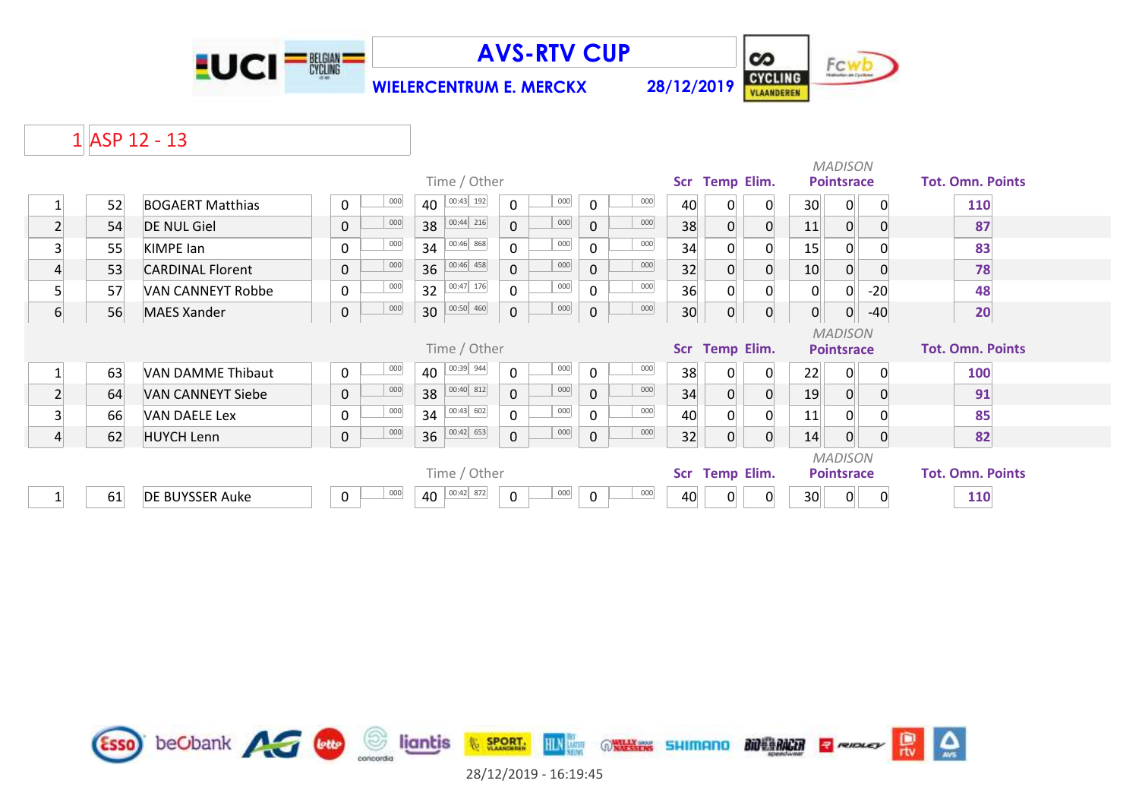

**AVS-RTV CUP**

**WIELERCENTRUM E. MERCKX 28/12/2019**



## $1$ **ASP 12 - 13**

|                  |    |                          |              |     |                 |                     |     |              |     |            |                   | <b>MADISON</b><br>Scr Temp Elim. |                 |                   |          |                         |  |  |  |  |
|------------------|----|--------------------------|--------------|-----|-----------------|---------------------|-----|--------------|-----|------------|-------------------|----------------------------------|-----------------|-------------------|----------|-------------------------|--|--|--|--|
|                  |    |                          | Time / Other |     |                 |                     |     |              |     |            |                   |                                  |                 | <b>Pointsrace</b> |          | <b>Tot. Omn. Points</b> |  |  |  |  |
|                  | 52 | <b>BOGAERT Matthias</b>  | 0            | 000 | 00:43 192<br>40 | $\mathbf 0$         | 000 | 0            | 000 | 40         |                   | 0                                | 30              | 0                 |          | 110                     |  |  |  |  |
| $\overline{2}$   | 54 | <b>DE NUL Giel</b>       | 0            | 000 | 00:44 216<br>38 | $\mathbf 0$         | 000 | $\mathbf{0}$ | 000 | 38         | $\Omega$          | 0                                | 11              | 0                 | 0        | 87                      |  |  |  |  |
| 3                | 55 | <b>KIMPE lan</b>         | $\mathbf{0}$ | 000 | 00:46 868<br>34 | $\mathbf 0$         | 000 | 0            | 000 | 34         | 0                 | 0                                | 15              | 0                 |          | 83                      |  |  |  |  |
| 4                | 53 | <b>CARDINAL Florent</b>  | $\mathbf{0}$ | 000 | 00:46 458<br>36 | $\mathsf{O}$        | 000 | $\mathbf 0$  | 000 | 32         | $\Omega$          | 0                                | 10 <sup>°</sup> | $\overline{0}$    |          | 78                      |  |  |  |  |
| 5                | 57 | VAN CANNEYT Robbe        | $\Omega$     | 000 | 00:47 176<br>32 | $\mathbf 0$         | 000 | $\Omega$     | 000 | 36         | $\Omega$          | 0                                | $\overline{0}$  | $\overline{0}$    | $-20$    | 48                      |  |  |  |  |
| $6 \overline{6}$ | 56 | <b>MAES Xander</b>       | 0            | 000 | 00:50 460<br>30 | $\mathsf{O}\xspace$ | 000 | $\pmb{0}$    | 000 | 30         | $\Omega$          | 0                                | $\overline{0}$  | $\overline{0}$    | $-40$    | 20                      |  |  |  |  |
|                  |    |                          |              |     |                 |                     |     |              |     |            |                   |                                  |                 | <b>MADISON</b>    |          |                         |  |  |  |  |
|                  |    |                          | Time / Other |     |                 |                     |     |              |     |            |                   |                                  |                 |                   |          |                         |  |  |  |  |
|                  |    |                          |              |     |                 |                     |     |              |     | <b>Scr</b> | <b>Temp Elim.</b> |                                  |                 | <b>Pointsrace</b> |          | <b>Tot. Omn. Points</b> |  |  |  |  |
| 1                | 63 | <b>VAN DAMME Thibaut</b> | $\mathbf 0$  | 000 | 00:39 944<br>40 | $\mathbf 0$         | 000 | 0            | 000 | 38         | 0                 | 0                                | 22              | 0                 | $\Omega$ | 100                     |  |  |  |  |
| $\overline{2}$   | 64 | <b>VAN CANNEYT Siebe</b> | $\mathbf 0$  | 000 | 00:40 812<br>38 | $\mathbf{0}$        | 000 | $\mathbf 0$  | 000 | 34         | $\Omega$          | 0                                | 19              | $\overline{0}$    | 0        | 91                      |  |  |  |  |
| 3                | 66 | <b>VAN DAELE Lex</b>     | $\mathbf{0}$ | 000 | 00:43 602<br>34 | $\mathbf 0$         | 000 | 0            | 000 | 40         |                   |                                  | 11              |                   |          | 85                      |  |  |  |  |
| $\overline{4}$   | 62 | <b>HUYCH Lenn</b>        | 0            | 000 | 00:42 653<br>36 | $\mathbf 0$         | 000 | $\mathbf 0$  | 000 | 32         | $\Omega$          | $\overline{0}$                   | 14              | $\overline{0}$    | 0        | 82                      |  |  |  |  |
|                  |    |                          |              |     |                 |                     |     |              |     |            |                   |                                  |                 | <b>MADISON</b>    |          |                         |  |  |  |  |
|                  |    |                          |              |     | Time / Other    |                     |     |              |     | Scr        | <b>Temp Elim.</b> |                                  |                 | <b>Pointsrace</b> |          | <b>Tot. Omn. Points</b> |  |  |  |  |